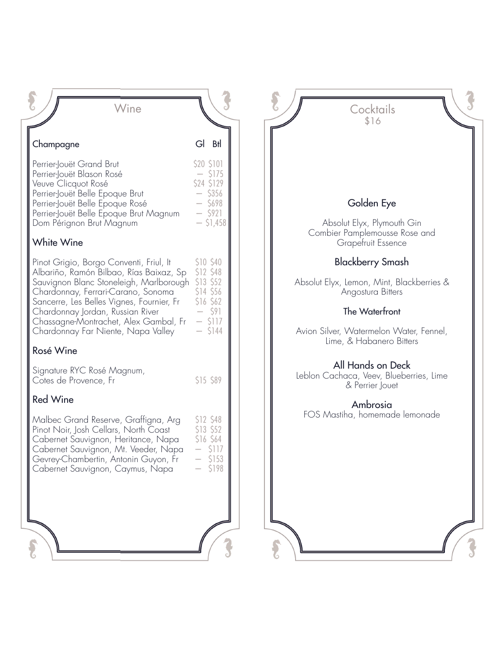| Wine                                                                                                                                                                                                                                     |                                                                                         | Cocktails<br>\$16                                                               |
|------------------------------------------------------------------------------------------------------------------------------------------------------------------------------------------------------------------------------------------|-----------------------------------------------------------------------------------------|---------------------------------------------------------------------------------|
| Champagne                                                                                                                                                                                                                                | GI Btl                                                                                  |                                                                                 |
| Perrier-Jouët Grand Brut<br>Perrier-Jouët Blason Rosé<br>Veuve Clicquot Rosé<br>Perrier-Jouët Belle Epoque Brut<br>Perrier-Jouët Belle Epoque Rosé<br>Perrier-Jouët Belle Epoque Brut Magnum<br>Dom Pérignon Brut Magnum                 | \$20 \$101<br>$-$ \$175<br>\$24 \$129<br>$-$ \$356<br>$-5698$<br>$-5921$<br>$-$ \$1,458 | Golden Eye<br>Absolut Elyx, Plymouth Gin                                        |
| White Wine                                                                                                                                                                                                                               |                                                                                         | Combier Pamplemousse Rose and<br>Grapefruit Essence                             |
| Pinot Grigio, Borgo Conventi, Friul, It                                                                                                                                                                                                  | \$10 \$40<br>\$12 \$48                                                                  | <b>Blackberry Smash</b>                                                         |
| Albariño, Ramón Bilbao, Rías Baixaz, Sp<br>Sauvignon Blanc Stoneleigh, Marlborough<br>Chardonnay, Ferrari-Carano, Sonoma<br>Sancerre, Les Belles Vignes, Fournier, Fr                                                                    | \$13 \$52<br>\$14 \$56<br>\$16 \$62                                                     | Absolut Elyx, Lemon, Mint, Blackberries &<br>Angostura Bitters                  |
| Chardonnay Jordan, Russian River<br>Chassagne-Montrachet, Alex Gambal, Fr                                                                                                                                                                | $-591$<br>$-$ \$117                                                                     | The Waterfront                                                                  |
| Chardonnay Far Niente, Napa Valley                                                                                                                                                                                                       | $-$ \$144                                                                               | Avion Silver, Watermelon Water, Fennel,<br>Lime, & Habanero Bitters             |
| Rosé Wine                                                                                                                                                                                                                                |                                                                                         |                                                                                 |
| Signature RYC Rosé Magnum,<br>Cotes de Provence, Fr                                                                                                                                                                                      | \$15 \$89                                                                               | All Hands on Deck<br>Leblon Cachaca, Veev, Blueberries, Lime<br>& Perrier Jouet |
| <b>Red Wine</b>                                                                                                                                                                                                                          |                                                                                         | Ambrosia                                                                        |
| Malbec Grand Reserve, Graffigna, Arg<br>Pinot Noir, Josh Cellars, North Coast<br>Cabernet Sauvignon, Heritance, Napa<br>Cabernet Sauvignon, Mt. Veeder, Napa<br>Gevrey-Chambertin, Antonin Guyon, Fr<br>Cabernet Sauvignon, Caymus, Napa | \$12 \$48<br>\$13 \$52<br>\$16 \$64<br>$-$ \$117<br>\$153<br>\$198                      | FOS Mastiha, homemade lemonade                                                  |
|                                                                                                                                                                                                                                          |                                                                                         |                                                                                 |
|                                                                                                                                                                                                                                          |                                                                                         |                                                                                 |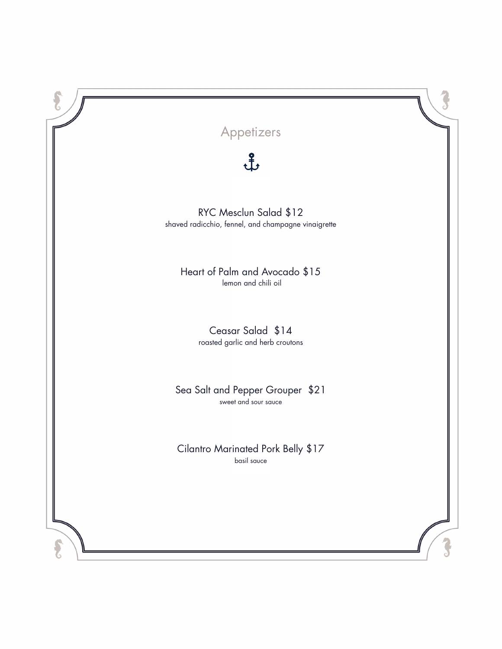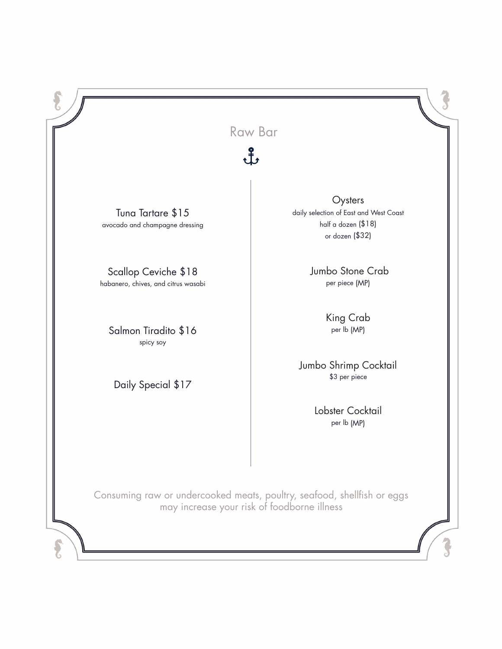Raw Bar  $\frac{2}{\sqrt{2}}$ 

Tuna Tartare \$15 avocado and champagne dressing

Scallop Ceviche \$18 habanero, chives, and citrus wasabi

Salmon Tiradito \$16 spicy soy

Daily Special \$17

**Oysters** daily selection of East and West Coast half a dozen (\$18) or dozen (\$32)

 $\boldsymbol{\hat{\zeta}}$ 

 Jumbo Stone Crab per piece (MP)

> King Crab per lb (MP)

Jumbo Shrimp Cocktail \$3 per piece

> Lobster Cocktail per lb (MP)

Consuming raw or undercooked meats, poultry, seafood, shellfish or eggs may increase your risk of foodborne illness